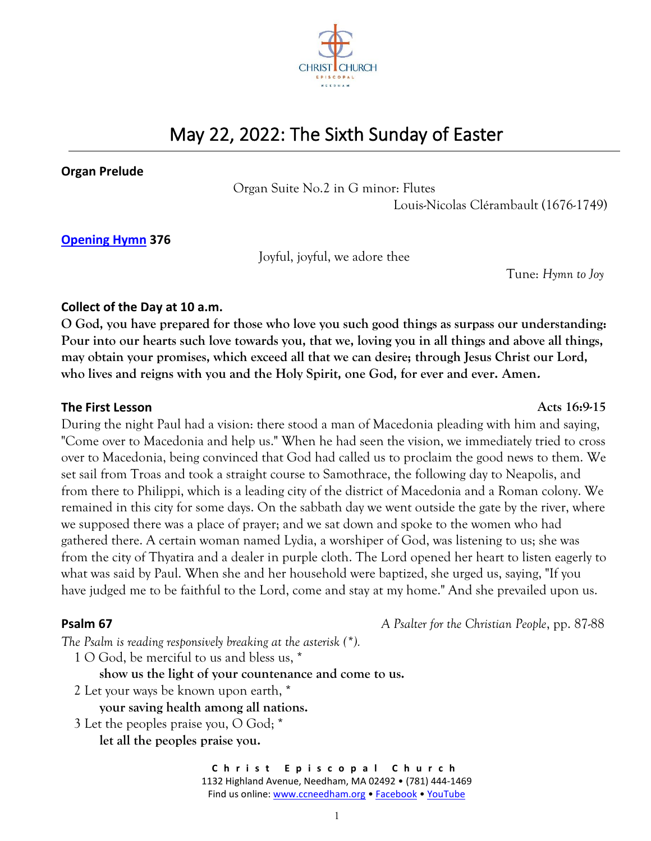

# May 22, 2022: The Sixth Sunday of Easter

### **Organ Prelude**

Organ Suite No.2 in G minor: Flutes

Louis-Nicolas Clérambault (1676-1749)

# **[Opening Hymn](https://ccneedham.org/wp-content/uploads/2022/05/Opening-Hymn-376-May-22-Joyful-joyful-we-adore-thee-Hymn-to-Joy-Music.png) 376**

Joyful, joyful, we adore thee

Tune: *Hymn to Joy*

## **Collect of the Day at 10 a.m.**

**O God, you have prepared for those who love you such good things as surpass our understanding: Pour into our hearts such love towards you, that we, loving you in all things and above all things, may obtain your promises, which exceed all that we can desire; through Jesus Christ our Lord, who lives and reigns with you and the Holy Spirit, one God, for ever and ever. Amen.**

## **The First Lesson Acts 16:9-15**

During the night Paul had a vision: there stood a man of Macedonia pleading with him and saying, "Come over to Macedonia and help us." When he had seen the vision, we immediately tried to cross over to Macedonia, being convinced that God had called us to proclaim the good news to them. We set sail from Troas and took a straight course to Samothrace, the following day to Neapolis, and from there to Philippi, which is a leading city of the district of Macedonia and a Roman colony. We remained in this city for some days. On the sabbath day we went outside the gate by the river, where we supposed there was a place of prayer; and we sat down and spoke to the women who had gathered there. A certain woman named Lydia, a worshiper of God, was listening to us; she was from the city of Thyatira and a dealer in purple cloth. The Lord opened her heart to listen eagerly to what was said by Paul. When she and her household were baptized, she urged us, saying, "If you have judged me to be faithful to the Lord, come and stay at my home." And she prevailed upon us.

## **Psalm 67** *A Psalter for the Christian People*, pp. 87-88

*The Psalm is reading responsively breaking at the asterisk (\*).*

1 O God, be merciful to us and bless us, \*

**show us the light of your countenance and come to us.**

- 2 Let your ways be known upon earth, \*
	- **your saving health among all nations.**
- 3 Let the peoples praise you, O God; \*

**let all the peoples praise you.**

**C h r i s t E p i s c o p a l C h u r c h** 1132 Highland Avenue, Needham, MA 02492 • (781) 444-1469 Find us online: [www.ccneedham.org](http://www.ccneedham.org/) [• Facebook](https://www.facebook.com/christchurchneedham/) • [YouTube](https://www.youtube.com/channel/UCt0k93brP-KEZC3D7XNP2gw)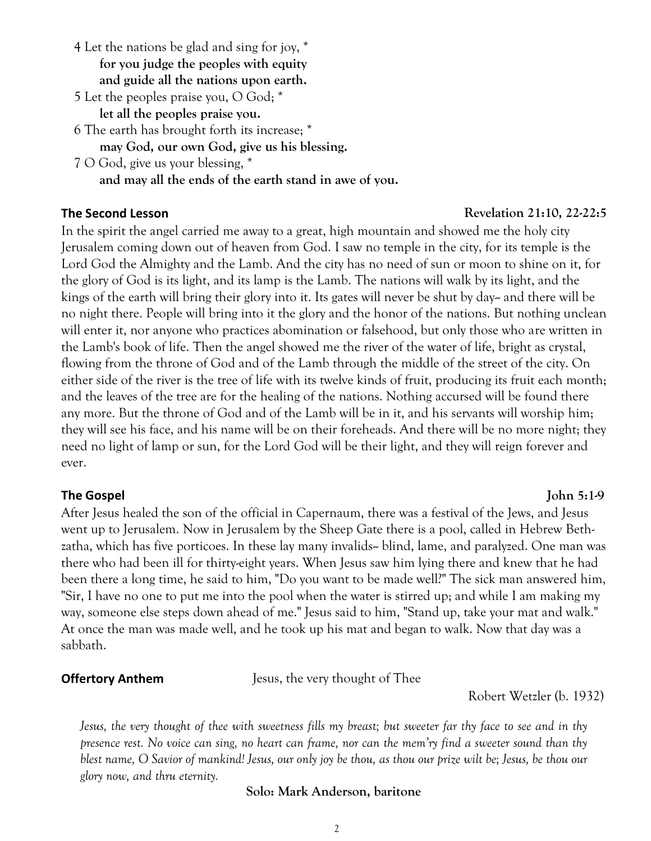- 4 Let the nations be glad and sing for joy, \* **for you judge the peoples with equity and guide all the nations upon earth.**
- 5 Let the peoples praise you, O God; \*

**let all the peoples praise you.**

- 6 The earth has brought forth its increase; \* **may God, our own God, give us his blessing.**
- 7 O God, give us your blessing, \* **and may all the ends of the earth stand in awe of you.**

In the spirit the angel carried me away to a great, high mountain and showed me the holy city Jerusalem coming down out of heaven from God. I saw no temple in the city, for its temple is the Lord God the Almighty and the Lamb. And the city has no need of sun or moon to shine on it, for the glory of God is its light, and its lamp is the Lamb. The nations will walk by its light, and the kings of the earth will bring their glory into it. Its gates will never be shut by day- and there will be no night there. People will bring into it the glory and the honor of the nations. But nothing unclean will enter it, nor anyone who practices abomination or falsehood, but only those who are written in the Lamb's book of life. Then the angel showed me the river of the water of life, bright as crystal, flowing from the throne of God and of the Lamb through the middle of the street of the city. On either side of the river is the tree of life with its twelve kinds of fruit, producing its fruit each month; and the leaves of the tree are for the healing of the nations. Nothing accursed will be found there any more. But the throne of God and of the Lamb will be in it, and his servants will worship him; they will see his face, and his name will be on their foreheads. And there will be no more night; they need no light of lamp or sun, for the Lord God will be their light, and they will reign forever and ever.

**The Gospel John 5:1-9** After Jesus healed the son of the official in Capernaum, there was a festival of the Jews, and Jesus went up to Jerusalem. Now in Jerusalem by the Sheep Gate there is a pool, called in Hebrew Bethzatha, which has five porticoes. In these lay many invalids-- blind, lame, and paralyzed. One man was there who had been ill for thirty-eight years. When Jesus saw him lying there and knew that he had been there a long time, he said to him, "Do you want to be made well?" The sick man answered him, "Sir, I have no one to put me into the pool when the water is stirred up; and while I am making my way, someone else steps down ahead of me." Jesus said to him, "Stand up, take your mat and walk." At once the man was made well, and he took up his mat and began to walk. Now that day was a sabbath.

**Offertory Anthem Jesus, the very thought of Thee** 

Robert Wetzler (b. 1932)

*Jesus, the very thought of thee with sweetness fills my breast; but sweeter far thy face to see and in thy presence rest. No voice can sing, no heart can frame, nor can the mem'ry find a sweeter sound than thy blest name, O Savior of mankind! Jesus, our only joy be thou, as thou our prize wilt be; Jesus, be thou our glory now, and thru eternity.*

## **Solo: Mark Anderson, baritone**

2

# **The Second Lesson** *Revelation 21:10, 22-22:5*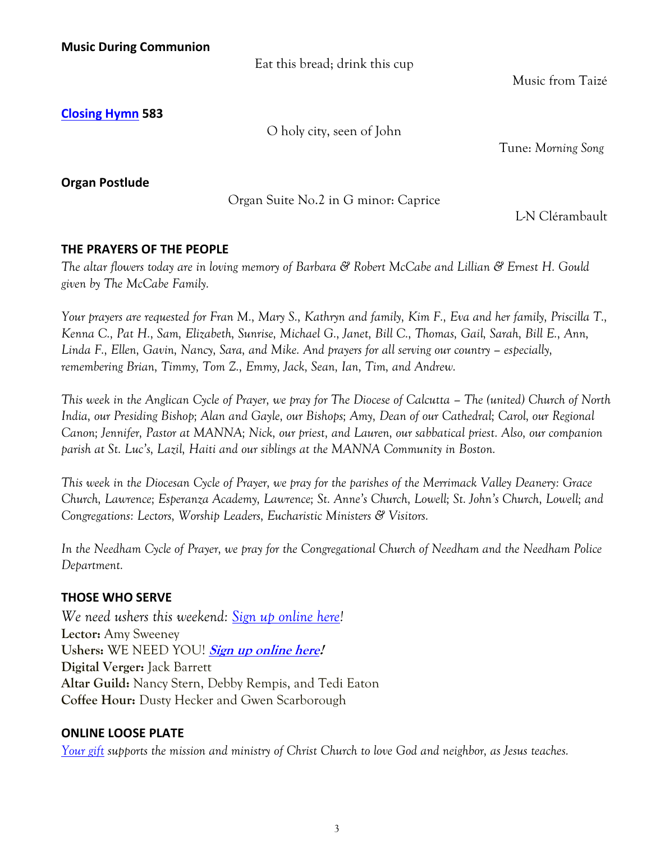Eat this bread; drink this cup

Music from Taizé

**[Closing Hymn](https://ccneedham.org/wp-content/uploads/2022/05/Closing-Hymn-583-May-22-O-holy-city-seen-of-John-Morning-Song-Music.png) 583** 

O holy city, seen of John

Tune: *Morning Song*

**Organ Postlude** 

Organ Suite No.2 in G minor: Caprice

L-N Clérambault

# **THE PRAYERS OF THE PEOPLE**

*The altar flowers today are in loving memory of Barbara & Robert McCabe and Lillian & Ernest H. Gould given by The McCabe Family.*

*Your prayers are requested for Fran M., Mary S., Kathryn and family, Kim F., Eva and her family, Priscilla T., Kenna C., Pat H., Sam, Elizabeth, Sunrise, Michael G., Janet, Bill C., Thomas, Gail, Sarah, Bill E., Ann, Linda F., Ellen, Gavin, Nancy, Sara, and Mike. And prayers for all serving our country – especially, remembering Brian, Timmy, Tom Z., Emmy, Jack, Sean, Ian, Tim, and Andrew.*

*This week in the Anglican Cycle of Prayer, we pray for The Diocese of Calcutta – The (united) Church of North India, our Presiding Bishop; Alan and Gayle, our Bishops; Amy, Dean of our Cathedral; Carol, our Regional Canon; Jennifer, Pastor at MANNA; Nick, our priest, and Lauren, our sabbatical priest. Also, our companion parish at St. Luc's, Lazil, Haiti and our siblings at the MANNA Community in Boston.* 

*This week in the Diocesan Cycle of Prayer, we pray for the parishes of the Merrimack Valley Deanery: Grace Church, Lawrence; Esperanza Academy, Lawrence; St. Anne's Church, Lowell; St. John's Church, Lowell; and Congregations: Lectors, Worship Leaders, Eucharistic Ministers & Visitors.*

*In the Needham Cycle of Prayer, we pray for the Congregational Church of Needham and the Needham Police Department.*

# **THOSE WHO SERVE**

*We need ushers this weekend: [Sign up online here!](https://ccneedham.org/sign-up-for-lay-service/)* **Lector:** Amy Sweeney **Ushers:** WE NEED YOU! **[Sign up online here!](https://ccneedham.org/sign-up-for-lay-service/) Digital Verger:** Jack Barrett **Altar Guild:** Nancy Stern, Debby Rempis, and Tedi Eaton **Coffee Hour:** Dusty Hecker and Gwen Scarborough

# **ONLINE LOOSE PLATE**

*[Your gift](https://onrealm.org/ccneedham/give/looseplate) supports the mission and ministry of Christ Church to love God and neighbor, as Jesus teaches.*